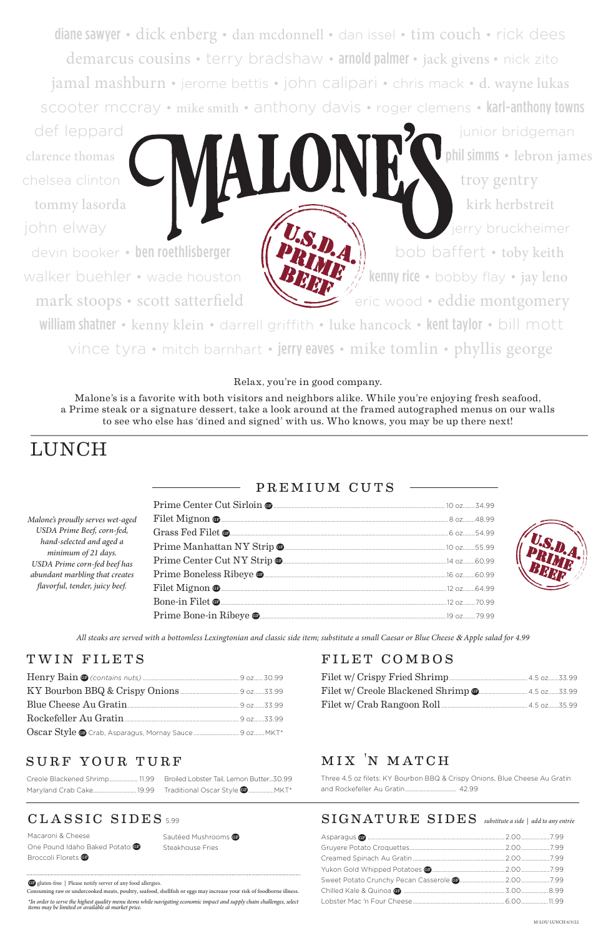diane sawyer • dick enberg • dan mcdonnell • dan issel • tim couch • rick dees demarcus cousins • terry bradshaw • arnold palmer • jack givens • nick zito jamal mashburn • jerome bettis • john calipari • chris mack • d. wayne lukas scooter mccray • mike smith • anthony davis • roger clemens • karl-anthony towns

def leppard **in the set of the set of the set of the set of the set of the set of the set of the set of the set of the set of the set of the set of the set of the set of the set of the set of the set of the set of the set** 

devin booker • ben roethlisberger  $\| \mathbf{P}_k \|$  bob baffert • toby keith walker buehler • wade houston  $\sqrt{B}$   $\sqrt{K}$   $\sqrt{K}$  kenny rice • bobby flay • jay leno

clarence thomas phil simms • lebron james<br>chelsea clinton<br>phil simms • lebron james chelsea clinton **the set of the set of the set of the set of the set of the set of the set of the set of the set of the set of the set of the set of the set of the set of the set of the set of the set of the set of the set** tommy lasorda kirk herbstreit john elway is a strong of the strong of the strong erry bruckheimer mark stoops • scott satterfield eric wood • eddie montgomery

william shatner • kenny klein • darrell griffith • luke hancock • kent taylor • bill mott vince tyra • mitch barnhart • jerry eaves • mike tomlin • phyllis george

*All steaks are served with a bottomless Lexingtonian and classic side item; substitute a small Caesar or Blue Cheese* & *Apple salad for 4.99*

Macaroni & Cheese One Pound Idaho Baked Potato GP Broccoli Florets GP

Sautéed Mushrooms Steakhouse Fries

| Malone's proudly serves wet-aged                                                                                        |  |
|-------------------------------------------------------------------------------------------------------------------------|--|
| USDA Prime Beef, corn-fed,                                                                                              |  |
| hand-selected and aged a                                                                                                |  |
| minimum of 21 days.<br>USDA Prime corn-fed beef has<br>abundant marbling that creates<br>flavorful, tender, juicy beef. |  |
|                                                                                                                         |  |
|                                                                                                                         |  |
|                                                                                                                         |  |
|                                                                                                                         |  |

| Blue Cheese Au Gratin                                                               |  |
|-------------------------------------------------------------------------------------|--|
| Rockefeller Au Gratin <u>[1994]</u> Nockefeller Au Gratin <b>[2016]</b> 22. [23.99] |  |
|                                                                                     |  |

## TWIN FILETS FILET COMBOS

Filet w/ Crispy Fried Shrimp.................................................... 4.5 oz.......33.99

### Filet w/ Creole Blackened Shrimp GF ................................ 4.5 oz.......33.99 Filet w/ Crab Rangoon Roll......................................................... 4.5 oz.......35.99

## mix 'n match

Three 4.5 oz filets: KY Bourbon BBQ & Crispy Onions, Blue Cheese Au Gratin and Rockefeller Au Gratin.................................. 42.99

## CLASSIC SIDES 5.99

| SURF YOUR TURF |  |
|----------------|--|
|                |  |

| Creole Blackened Shrimp 11.99 Broiled Lobster Tail, Lemon Butter30.99 |  |
|-----------------------------------------------------------------------|--|
|                                                                       |  |

# LUNCH

## PREMIUM CUTS

Relax, you're in good company.

Malone's is a favorite with both visitors and neighbors alike. While you're enjoying fresh seafood, a Prime steak or a signature dessert, take a look around at the framed autographed menus on our walls to see who else has 'dined and signed' with us. Who knows, you may be up there next!

*\*In order to serve the highest quality menu items while navigating economic impact and supply chain challenges, select items may be limited or available at market price.* 

## $SIGNATURE$   $SIDES$  substitute a side | add to any entrée

GF gluten-free | Please notify server of any food allergies.

Consuming raw or undercooked meats, poultry, seafood, shellfish or eggs may increase your risk of foodborne illness.